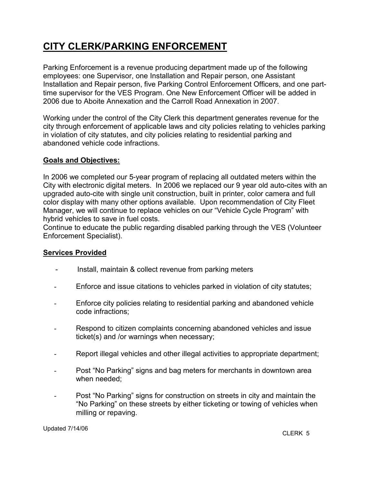# CITY CLERK/PARKING ENFORCEMENT

Parking Enforcement is a revenue producing department made up of the following employees: one Supervisor, one Installation and Repair person, one Assistant Installation and Repair person, five Parking Control Enforcement Officers, and one parttime supervisor for the VES Program. One New Enforcement Officer will be added in 2006 due to Aboite Annexation and the Carroll Road Annexation in 2007.

Working under the control of the City Clerk this department generates revenue for the city through enforcement of applicable laws and city policies relating to vehicles parking in violation of city statutes, and city policies relating to residential parking and abandoned vehicle code infractions.

#### Goals and Objectives:

In 2006 we completed our 5-year program of replacing all outdated meters within the City with electronic digital meters. In 2006 we replaced our 9 year old auto-cites with an upgraded auto-cite with single unit construction, built in printer, color camera and full color display with many other options available. Upon recommendation of City Fleet Manager, we will continue to replace vehicles on our "Vehicle Cycle Program" with hybrid vehicles to save in fuel costs.

Continue to educate the public regarding disabled parking through the VES (Volunteer Enforcement Specialist).

#### Services Provided

- Install, maintain & collect revenue from parking meters
- Enforce and issue citations to vehicles parked in violation of city statutes;
- Enforce city policies relating to residential parking and abandoned vehicle code infractions;
- Respond to citizen complaints concerning abandoned vehicles and issue ticket(s) and /or warnings when necessary;
- Report illegal vehicles and other illegal activities to appropriate department;
- Post "No Parking" signs and bag meters for merchants in downtown area when needed;
- Post "No Parking" signs for construction on streets in city and maintain the "No Parking" on these streets by either ticketing or towing of vehicles when milling or repaving.

Updated 7/14/06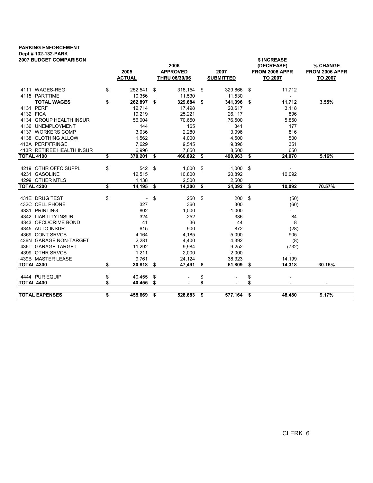### PARKING ENFORCEMENT Dept # 132-132-PARK

| <b>2007 BUDGET COMPARISON</b> |                                       |                                  | 2006      |                          |                | \$ INCREASE<br>(DECREASE)<br>% CHANGE |                                  |        |  |  |  |  |
|-------------------------------|---------------------------------------|----------------------------------|-----------|--------------------------|----------------|---------------------------------------|----------------------------------|--------|--|--|--|--|
|                               | 2005<br><b>ACTUAL</b>                 | <b>APPROVED</b><br>THRU 06/30/06 |           | 2007<br><b>SUBMITTED</b> |                | <b>FROM 2006 APPR</b><br>TO 2007      | <b>FROM 2006 APPR</b><br>TO 2007 |        |  |  |  |  |
| 4111 WAGES-REG                | \$<br>252,541                         | \$                               | 318,154   | \$                       | 329,866        | - \$                                  | 11,712                           |        |  |  |  |  |
| 4115 PARTTIME                 | 10,356                                |                                  | 11,530    |                          | 11,530         |                                       |                                  |        |  |  |  |  |
| <b>TOTAL WAGES</b>            | \$<br>262,897 \$                      |                                  | 329,684   | \$                       | 341,396 \$     |                                       | 11,712                           | 3.55%  |  |  |  |  |
| 4131 PERF                     | 12,714                                |                                  | 17,498    |                          | 20,617         |                                       | 3,118                            |        |  |  |  |  |
| 4132 FICA                     | 19,219                                |                                  | 25,221    |                          | 26,117         |                                       | 896                              |        |  |  |  |  |
| 4134 GROUP HEALTH INSUR       | 56,004                                |                                  | 70,650    |                          | 76,500         |                                       | 5,850                            |        |  |  |  |  |
| 4136 UNEMPLOYMENT             | 144                                   |                                  | 165       |                          | 341            |                                       | 177                              |        |  |  |  |  |
| 4137 WORKERS COMP             | 3,036                                 |                                  | 2,280     |                          | 3,096          |                                       | 816                              |        |  |  |  |  |
| 4138 CLOTHING ALLOW           | 1,562                                 |                                  | 4,000     |                          | 4,500          |                                       | 500                              |        |  |  |  |  |
| 413A PERF/FRINGE              | 7,629                                 |                                  | 9,545     |                          | 9,896          |                                       | 351                              |        |  |  |  |  |
| 413R RETIREE HEALTH INSUR     | 6,996                                 |                                  | 7,850     |                          | 8,500          |                                       | 650                              |        |  |  |  |  |
| <b>TOTAL 4100</b>             | \$<br>370,201                         | \$                               | 466,892   | \$                       | 490,963 \$     |                                       | 24,070                           | 5.16%  |  |  |  |  |
|                               |                                       |                                  |           |                          |                |                                       |                                  |        |  |  |  |  |
| 4219 OTHR OFFC SUPPL          | \$<br>542                             | \$                               | 1,000     | \$                       | 1,000          | - \$                                  | $\overline{\phantom{a}}$         |        |  |  |  |  |
| 4231 GASOLINE                 | 12,515                                |                                  | 10,800    |                          | 20,892         |                                       | 10,092                           |        |  |  |  |  |
| 4299 OTHER MTLS               | 1,138                                 |                                  | 2,500     |                          | 2,500          |                                       | $\overline{\phantom{a}}$         |        |  |  |  |  |
| <b>TOTAL 4200</b>             | \$<br>14,195                          | \$                               | 14,300    | \$                       | 24,392         | -\$                                   | 10,092                           | 70.57% |  |  |  |  |
| 431E DRUG TEST                |                                       |                                  | 250       |                          | 200            |                                       |                                  |        |  |  |  |  |
| 432C CELL PHONE               | \$<br>$\overline{\phantom{a}}$<br>327 | \$                               | 360       | \$                       | 300            | \$                                    | (50)                             |        |  |  |  |  |
| 4331 PRINTING                 | 802                                   |                                  | 1,000     |                          | 1,000          |                                       | (60)                             |        |  |  |  |  |
| 4342 LIABILITY INSUR          | 324                                   |                                  |           |                          | 336            |                                       |                                  |        |  |  |  |  |
| 4343 OFCL/CRIME BOND          | 41                                    |                                  | 252<br>36 |                          | 44             |                                       | 84<br>8                          |        |  |  |  |  |
| 4345 AUTO INSUR               | 615                                   |                                  | 900       |                          | 872            |                                       |                                  |        |  |  |  |  |
| 4369 CONT SRVCS               | 4,164                                 |                                  | 4,185     |                          | 5,090          |                                       | (28)<br>905                      |        |  |  |  |  |
| 436N GARAGE NON-TARGET        | 2,281                                 |                                  | 4,400     |                          | 4,392          |                                       | (8)                              |        |  |  |  |  |
| 436T GARAGE TARGET            | 11,292                                |                                  | 9,984     |                          | 9,252          |                                       | (732)                            |        |  |  |  |  |
| 4399 OTHR SRVCS               | 1,211                                 |                                  | 2,000     |                          | 2,000          |                                       | $\overline{\phantom{0}}$         |        |  |  |  |  |
| 439B MASTER LEASE             | 9,761                                 |                                  | 24,124    |                          | 38,323         |                                       | 14,199                           |        |  |  |  |  |
| <b>TOTAL 4300</b>             | \$<br>30,818                          | \$                               | 47,491    | \$                       | 61,809         | \$                                    | 14,318                           | 30.15% |  |  |  |  |
|                               |                                       |                                  |           |                          |                |                                       |                                  |        |  |  |  |  |
| 4444 PUR EQUIP                | \$<br>40,455                          | \$                               |           | \$                       |                | \$                                    | $\overline{\phantom{a}}$         |        |  |  |  |  |
| <b>TOTAL 4400</b>             | \$<br>40.455                          | \$                               | ۰         | \$                       | $\blacksquare$ | \$                                    | ۰                                | ۰      |  |  |  |  |
|                               |                                       |                                  |           |                          |                |                                       |                                  |        |  |  |  |  |
| <b>TOTAL EXPENSES</b>         | \$<br>455,669                         | \$                               | 528,683   | \$                       | 577,164        | \$                                    | 48,480                           | 9.17%  |  |  |  |  |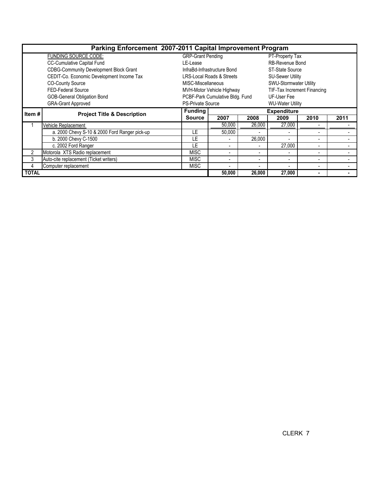| Parking Enforcement 2007-2011 Capital Improvement Program |                                               |                          |                                 |        |                             |                          |      |  |  |  |
|-----------------------------------------------------------|-----------------------------------------------|--------------------------|---------------------------------|--------|-----------------------------|--------------------------|------|--|--|--|
|                                                           | FUNDING SOURCE CODE:                          | <b>GRP-Grant Pending</b> |                                 |        | PT-Property Tax             |                          |      |  |  |  |
|                                                           | CC-Cumulative Capital Fund                    | LE-Lease                 |                                 |        | <b>RB-Revenue Bond</b>      |                          |      |  |  |  |
|                                                           | <b>CDBG-Community Development Block Grant</b> |                          | InfraBd-Infrastructure Bond     |        | ST-State Source             |                          |      |  |  |  |
|                                                           | CEDIT-Co. Economic Development Income Tax     |                          | LRS-Local Roads & Streets       |        | <b>SU-Sewer Utility</b>     |                          |      |  |  |  |
|                                                           | <b>CO-County Source</b>                       | MISC-Miscellaneous       |                                 |        | SWU-Stormwater Utility      |                          |      |  |  |  |
|                                                           | <b>FED-Federal Source</b>                     |                          | MVH-Motor Vehicle Highway       |        | TIF-Tax Increment Financing |                          |      |  |  |  |
|                                                           | <b>GOB-General Obligation Bond</b>            |                          | PCBF-Park Cumulative Bldg. Fund |        | UF-User Fee                 |                          |      |  |  |  |
|                                                           | <b>GRA-Grant Approved</b>                     | <b>PS-Private Source</b> |                                 |        | <b>WU-Water Utility</b>     |                          |      |  |  |  |
| Item #                                                    | <b>Project Title &amp; Description</b>        | <b>Funding</b>           | <b>Expenditure</b>              |        |                             |                          |      |  |  |  |
|                                                           |                                               | <b>Source</b>            | 2007                            | 2008   | 2009                        | 2010                     | 2011 |  |  |  |
|                                                           | <b>Vehicle Replacement</b>                    |                          | 50,000                          | 26,000 | 27,000                      |                          |      |  |  |  |
|                                                           | a. 2000 Chevy S-10 & 2000 Ford Ranger pick-up | LE                       | 50,000                          |        |                             |                          |      |  |  |  |
|                                                           | b. 2000 Chevy C-1500                          | LE                       |                                 | 26,000 |                             | $\blacksquare$           |      |  |  |  |
|                                                           | c. 2002 Ford Ranger                           | LE                       | $\overline{\phantom{0}}$        |        | 27,000                      | $\blacksquare$           |      |  |  |  |
| 2                                                         | Motorola XTS Radio replacement                | <b>MISC</b>              | $\overline{\phantom{0}}$        | ۰      |                             | $\blacksquare$           |      |  |  |  |
| 3                                                         | Auto-cite replacement (Ticket writers)        | <b>MISC</b>              | $\blacksquare$                  | ۰      |                             | $\overline{\phantom{a}}$ |      |  |  |  |
| 4                                                         | Computer replacement                          | <b>MISC</b>              | $\blacksquare$                  |        |                             | $\blacksquare$           |      |  |  |  |
| <b>TOTAL</b>                                              |                                               | 50,000                   | 26,000                          | 27,000 | $\blacksquare$              |                          |      |  |  |  |